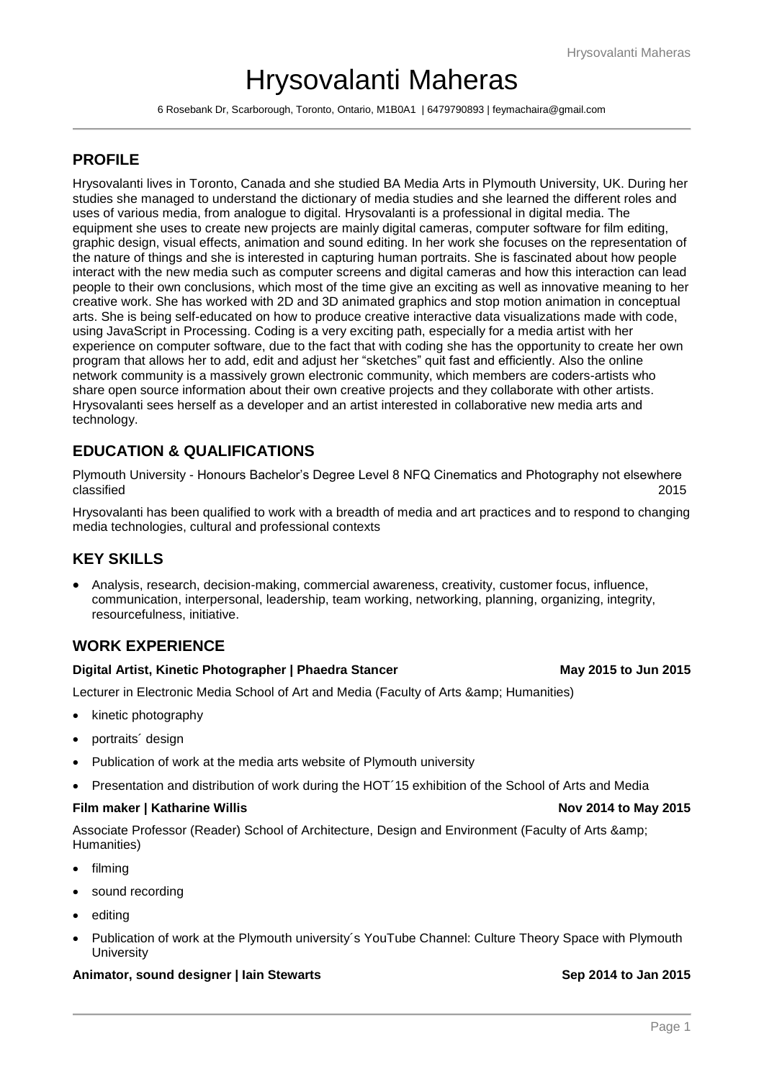# Hrysovalanti Maheras

6 Rosebank Dr, Scarborough, Toronto, Ontario, M1B0A1 | 6479790893 | feymachaira@gmail.com

# **PROFILE**

Hrysovalanti lives in Toronto, Canada and she studied BA Media Arts in Plymouth University, UK. During her studies she managed to understand the dictionary of media studies and she learned the different roles and uses of various media, from analogue to digital. Hrysovalanti is a professional in digital media. The equipment she uses to create new projects are mainly digital cameras, computer software for film editing, graphic design, visual effects, animation and sound editing. In her work she focuses on the representation of the nature of things and she is interested in capturing human portraits. She is fascinated about how people interact with the new media such as computer screens and digital cameras and how this interaction can lead people to their own conclusions, which most of the time give an exciting as well as innovative meaning to her creative work. She has worked with 2D and 3D animated graphics and stop motion animation in conceptual arts. She is being self-educated on how to produce creative interactive data visualizations made with code, using JavaScript in Processing. Coding is a very exciting path, especially for a media artist with her experience on computer software, due to the fact that with coding she has the opportunity to create her own program that allows her to add, edit and adjust her "sketches" quit fast and efficiently. Also the online network community is a massively grown electronic community, which members are coders-artists who share open source information about their own creative projects and they collaborate with other artists. Hrysovalanti sees herself as a developer and an artist interested in collaborative new media arts and technology.

# **EDUCATION & QUALIFICATIONS**

Plymouth University - Honours Bachelor's Degree Level 8 NFQ Cinematics and Photography not elsewhere classified 2015

Hrysovalanti has been qualified to work with a breadth of media and art practices and to respond to changing media technologies, cultural and professional contexts

# **KEY SKILLS**

 Analysis, research, decision-making, commercial awareness, creativity, customer focus, influence, communication, interpersonal, leadership, team working, networking, planning, organizing, integrity, resourcefulness, initiative.

# **WORK EXPERIENCE**

### **Digital Artist, Kinetic Photographer | Phaedra Stancer May 2015 to Jun 2015**

Lecturer in Electronic Media School of Art and Media (Faculty of Arts & amp; Humanities)

- kinetic photography
- portraits design
- Publication of work at the media arts website of Plymouth university
- Presentation and distribution of work during the HOT'15 exhibition of the School of Arts and Media

### **Film maker | Katharine Willis Nov 2014 to May 2015**

Associate Professor (Reader) School of Architecture, Design and Environment (Faculty of Arts & Humanities)

- filming
- sound recording
- editing
- Publication of work at the Plymouth university´s YouTube Channel: Culture Theory Space with Plymouth **University**

### **Animator, sound designer | Iain Stewarts Sep 2014 to Jan 2015**